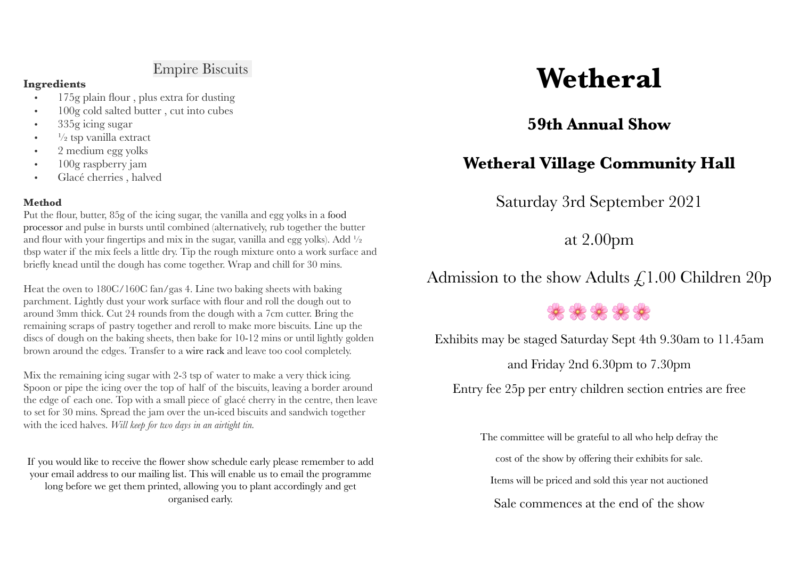## Empire Biscuits

#### **Ingredients**

- 175g plain flour , plus extra for dusting
- 100g cold salted butter, cut into cubes
- 335g icing sugar
- $\cdot$   $\frac{1}{2}$  tsp vanilla extract
- 2 medium egg yolks
- 100g raspberry jam
- Glacé cherries , halved

#### **Method**

Put the flour, butter, 85g of the icing sugar, the vanilla and egg yolks in a food processor and pulse in bursts until combined (alternatively, rub together the butter and flour with your fingertips and mix in the sugar, vanilla and egg yolks). Add  $\frac{1}{2}$ tbsp water if the mix feels a little dry. Tip the rough mixture onto a work surface and briefly knead until the dough has come together. Wrap and chill for 30 mins.

Heat the oven to 180C/160C fan/gas 4. Line two baking sheets with baking parchment. Lightly dust your work surface with flour and roll the dough out to around 3mm thick. Cut 24 rounds from the dough with a 7cm cutter. Bring the remaining scraps of pastry together and reroll to make more biscuits. Line up the discs of dough on the baking sheets, then bake for 10-12 mins or until lightly golden brown around the edges. Transfer to a wire rack and leave too cool completely.

Mix the remaining icing sugar with 2-3 tsp of water to make a very thick icing. Spoon or pipe the icing over the top of half of the biscuits, leaving a border around the edge of each one. Top with a small piece of glacé cherry in the centre, then leave to set for 30 mins. Spread the jam over the un-iced biscuits and sandwich together with the iced halves. *Will keep for two days in an airtight tin.*

If you would like to receive the flower show schedule early please remember to add your email address to our mailing list. This will enable us to email the programme long before we get them printed, allowing you to plant accordingly and get organised early.

# **Wetheral**

## **59th Annual Show**

## **Wetheral Village Community Hall**

Saturday 3rd September 2021

at 2.00pm

Admission to the show Adults  $\zeta$ 1.00 Children 20p

# \*\*\*\*\*

Exhibits may be staged Saturday Sept 4th 9.30am to 11.45am

and Friday 2nd 6.30pm to 7.30pm

Entry fee 25p per entry children section entries are free

The committee will be grateful to all who help defray the

cost of the show by offering their exhibits for sale.

Items will be priced and sold this year not auctioned

Sale commences at the end of the show